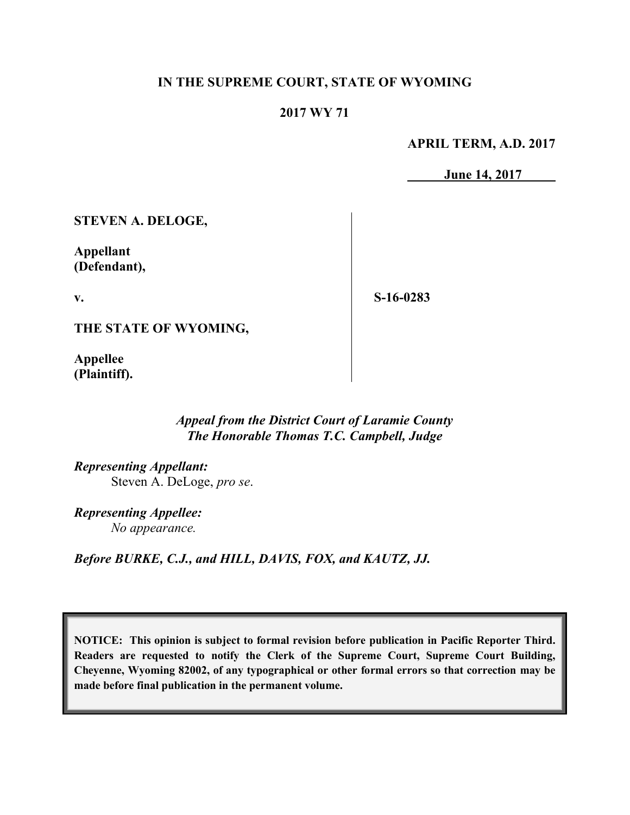## **IN THE SUPREME COURT, STATE OF WYOMING**

## **2017 WY 71**

**APRIL TERM, A.D. 2017**

**June 14, 2017**

**STEVEN A. DELOGE,**

**Appellant (Defendant),**

**v.**

**S-16-0283**

**THE STATE OF WYOMING,**

**Appellee (Plaintiff).**

## *Appeal from the District Court of Laramie County The Honorable Thomas T.C. Campbell, Judge*

*Representing Appellant:* Steven A. DeLoge, *pro se*.

*Representing Appellee: No appearance.*

*Before BURKE, C.J., and HILL, DAVIS, FOX, and KAUTZ, JJ.*

**NOTICE: This opinion is subject to formal revision before publication in Pacific Reporter Third. Readers are requested to notify the Clerk of the Supreme Court, Supreme Court Building, Cheyenne, Wyoming 82002, of any typographical or other formal errors so that correction may be made before final publication in the permanent volume.**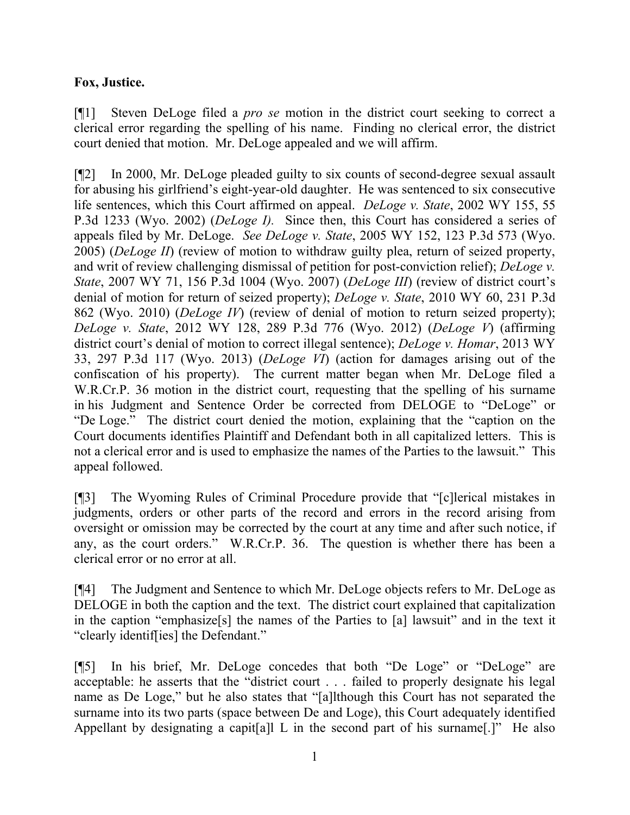## **Fox, Justice.**

[¶1] Steven DeLoge filed a *pro se* motion in the district court seeking to correct a clerical error regarding the spelling of his name. Finding no clerical error, the district court denied that motion. Mr. DeLoge appealed and we will affirm.

[¶2] In 2000, Mr. DeLoge pleaded guilty to six counts of second-degree sexual assault for abusing his girlfriend's eight-year-old daughter. He was sentenced to six consecutive life sentences, which this Court affirmed on appeal. *DeLoge v. State*, 2002 WY 155, 55 P.3d 1233 (Wyo. 2002) (*DeLoge I).* Since then, this Court has considered a series of appeals filed by Mr. DeLoge. *See DeLoge v. State*, 2005 WY 152, 123 P.3d 573 (Wyo. 2005) (*DeLoge II*) (review of motion to withdraw guilty plea, return of seized property, and writ of review challenging dismissal of petition for post-conviction relief); *DeLoge v. State*, 2007 WY 71, 156 P.3d 1004 (Wyo. 2007) (*DeLoge III*) (review of district court's denial of motion for return of seized property); *DeLoge v. State*, 2010 WY 60, 231 P.3d 862 (Wyo. 2010) (*DeLoge IV*) (review of denial of motion to return seized property); *DeLoge v. State*, 2012 WY 128, 289 P.3d 776 (Wyo. 2012) (*DeLoge V*) (affirming district court's denial of motion to correct illegal sentence); *DeLoge v. Homar*, 2013 WY 33, 297 P.3d 117 (Wyo. 2013) (*DeLoge VI*) (action for damages arising out of the confiscation of his property). The current matter began when Mr. DeLoge filed a W.R.Cr.P. 36 motion in the district court, requesting that the spelling of his surname in his Judgment and Sentence Order be corrected from DELOGE to "DeLoge" or "De Loge." The district court denied the motion, explaining that the "caption on the Court documents identifies Plaintiff and Defendant both in all capitalized letters. This is not a clerical error and is used to emphasize the names of the Parties to the lawsuit." This appeal followed.

[¶3] The Wyoming Rules of Criminal Procedure provide that "[c]lerical mistakes in judgments, orders or other parts of the record and errors in the record arising from oversight or omission may be corrected by the court at any time and after such notice, if any, as the court orders." W.R.Cr.P. 36. The question is whether there has been a clerical error or no error at all.

[¶4] The Judgment and Sentence to which Mr. DeLoge objects refers to Mr. DeLoge as DELOGE in both the caption and the text. The district court explained that capitalization in the caption "emphasize[s] the names of the Parties to [a] lawsuit" and in the text it "clearly identif[ies] the Defendant."

[¶5] In his brief, Mr. DeLoge concedes that both "De Loge" or "DeLoge" are acceptable: he asserts that the "district court . . . failed to properly designate his legal name as De Loge," but he also states that "[a]lthough this Court has not separated the surname into its two parts (space between De and Loge), this Court adequately identified Appellant by designating a capit[a]l L in the second part of his surname[.]" He also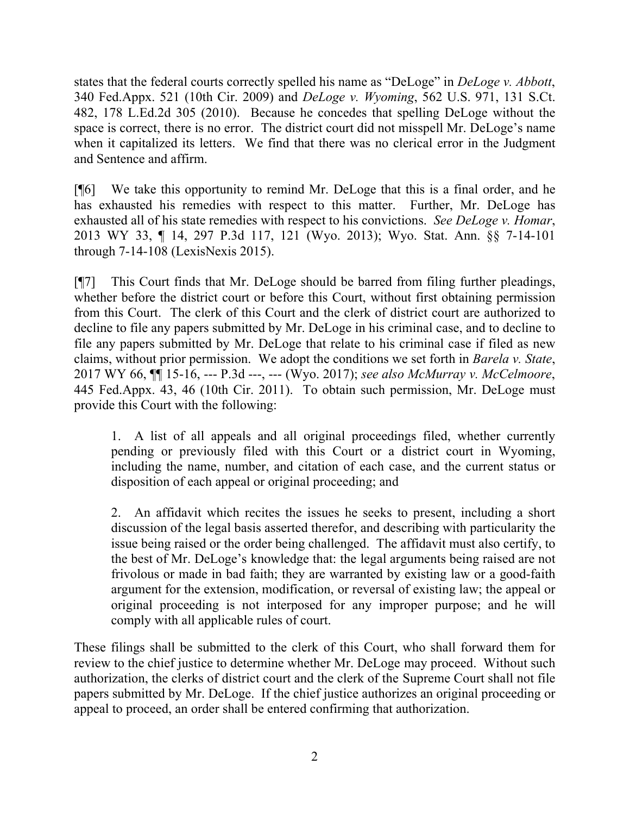states that the federal courts correctly spelled his name as "DeLoge" in *DeLoge v. Abbott*, 340 Fed.Appx. 521 (10th Cir. 2009) and *DeLoge v. Wyoming*, 562 U.S. 971, 131 S.Ct. 482, 178 L.Ed.2d 305 (2010). Because he concedes that spelling DeLoge without the space is correct, there is no error. The district court did not misspell Mr. DeLoge's name when it capitalized its letters. We find that there was no clerical error in the Judgment and Sentence and affirm.

[¶6] We take this opportunity to remind Mr. DeLoge that this is a final order, and he has exhausted his remedies with respect to this matter. Further, Mr. DeLoge has exhausted all of his state remedies with respect to his convictions. *See DeLoge v. Homar*, 2013 WY 33, ¶ 14, 297 P.3d 117, 121 (Wyo. 2013); Wyo. Stat. Ann. §§ 7-14-101 through 7-14-108 (LexisNexis 2015).

[¶7] This Court finds that Mr. DeLoge should be barred from filing further pleadings, whether before the district court or before this Court, without first obtaining permission from this Court. The clerk of this Court and the clerk of district court are authorized to decline to file any papers submitted by Mr. DeLoge in his criminal case, and to decline to file any papers submitted by Mr. DeLoge that relate to his criminal case if filed as new claims, without prior permission. We adopt the conditions we set forth in *Barela v. State*, 2017 WY 66, ¶¶ 15-16, --- P.3d ---, --- (Wyo. 2017); *see also McMurray v. McCelmoore*, 445 Fed.Appx. 43, 46 (10th Cir. 2011). To obtain such permission, Mr. DeLoge must provide this Court with the following:

1. A list of all appeals and all original proceedings filed, whether currently pending or previously filed with this Court or a district court in Wyoming, including the name, number, and citation of each case, and the current status or disposition of each appeal or original proceeding; and

2. An affidavit which recites the issues he seeks to present, including a short discussion of the legal basis asserted therefor, and describing with particularity the issue being raised or the order being challenged. The affidavit must also certify, to the best of Mr. DeLoge's knowledge that: the legal arguments being raised are not frivolous or made in bad faith; they are warranted by existing law or a good-faith argument for the extension, modification, or reversal of existing law; the appeal or original proceeding is not interposed for any improper purpose; and he will comply with all applicable rules of court.

These filings shall be submitted to the clerk of this Court, who shall forward them for review to the chief justice to determine whether Mr. DeLoge may proceed. Without such authorization, the clerks of district court and the clerk of the Supreme Court shall not file papers submitted by Mr. DeLoge. If the chief justice authorizes an original proceeding or appeal to proceed, an order shall be entered confirming that authorization.